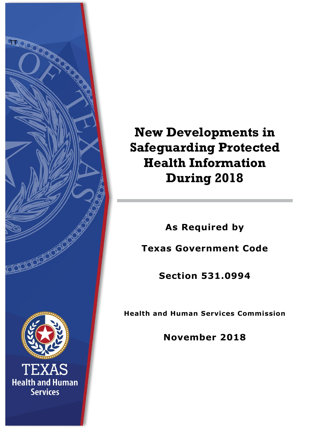

# **New Developments in Safeguarding Protected Health Information During 2018**

**As Required by**

**Texas Government Code**

**Section 531.0994**

**Health and Human Services Commission**

**November 2018**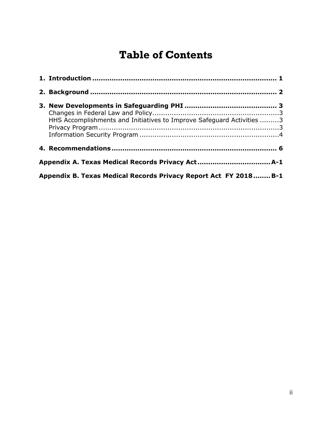## **Table of Contents**

| HHS Accomplishments and Initiatives to Improve Safeguard Activities 3 |  |
|-----------------------------------------------------------------------|--|
|                                                                       |  |
|                                                                       |  |
| Appendix B. Texas Medical Records Privacy Report Act FY 2018 B-1      |  |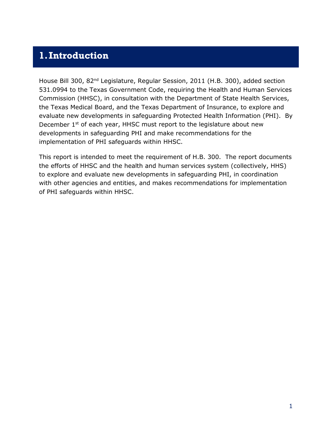## <span id="page-2-0"></span>**1.Introduction**

House Bill 300, 82nd Legislature, Regular Session, 2011 (H.B. 300), added section 531.0994 to the Texas Government Code, requiring the Health and Human Services Commission (HHSC), in consultation with the Department of State Health Services, the Texas Medical Board, and the Texas Department of Insurance, to explore and evaluate new developments in safeguarding Protected Health Information (PHI). By December  $1<sup>st</sup>$  of each year, HHSC must report to the legislature about new developments in safeguarding PHI and make recommendations for the implementation of PHI safeguards within HHSC.

This report is intended to meet the requirement of H.B. 300. The report documents the efforts of HHSC and the health and human services system (collectively, HHS) to explore and evaluate new developments in safeguarding PHI, in coordination with other agencies and entities, and makes recommendations for implementation of PHI safeguards within HHSC.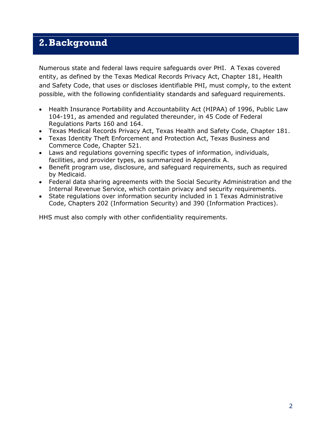## <span id="page-3-0"></span>**2.Background**

Numerous state and federal laws require safeguards over PHI. A Texas covered entity, as defined by the Texas Medical Records Privacy Act, Chapter 181, Health and Safety Code, that uses or discloses identifiable PHI, must comply, to the extent possible, with the following confidentiality standards and safeguard requirements.

- Health Insurance Portability and Accountability Act (HIPAA) of 1996, Public Law 104-191, as amended and regulated thereunder, in 45 Code of Federal Regulations Parts 160 and 164.
- Texas Medical Records Privacy Act, Texas Health and Safety Code, Chapter 181.
- Texas Identity Theft Enforcement and Protection Act, Texas Business and Commerce Code, Chapter 521.
- Laws and regulations governing specific types of information, individuals, facilities, and provider types, as summarized in Appendix A.
- Benefit program use, disclosure, and safeguard requirements, such as required by Medicaid.
- Federal data sharing agreements with the Social Security Administration and the Internal Revenue Service, which contain privacy and security requirements.
- State regulations over information security included in 1 Texas Administrative Code, Chapters 202 (Information Security) and 390 (Information Practices).

HHS must also comply with other confidentiality requirements.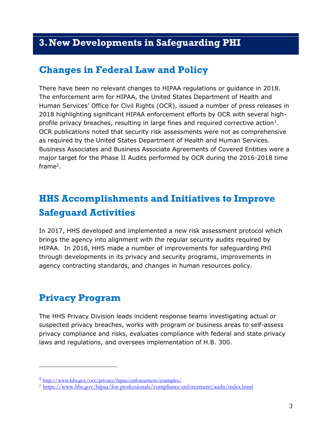## <span id="page-4-0"></span>**3.New Developments in Safeguarding PHI**

### <span id="page-4-1"></span>**Changes in Federal Law and Policy**

There have been no relevant changes to HIPAA regulations or guidance in 2018. The enforcement arm for HIPAA, the United States Department of Health and Human Services' Office for Civil Rights (OCR), issued a number of press releases in 2018 highlighting significant HIPAA enforcement efforts by OCR with several high-profile privacy breaches, resulting in large fines and required corrective action<sup>[1](#page-4-4)</sup>. OCR publications noted that security risk assessments were not as comprehensive as required by the United States Department of Health and Human Services. Business Associates and Business Associate Agreements of Covered Entities were a major target for the Phase II Audits performed by OCR during the 2016-2018 time frame2.

## <span id="page-4-2"></span>**HHS Accomplishments and Initiatives to Improve Safeguard Activities**

In 2017, HHS developed and implemented a new risk assessment protocol which brings the agency into alignment with the regular security audits required by HIPAA. In 2018, HHS made a number of improvements for safeguarding PHI through developments in its privacy and security programs, improvements in agency contracting standards, and changes in human resources policy.

## <span id="page-4-3"></span>**Privacy Program**

l

The HHS Privacy Division leads incident response teams investigating actual or suspected privacy breaches, works with program or business areas to self-assess privacy compliance and risks, evaluates compliance with federal and state privacy laws and regulations, and oversees implementation of H.B. 300.

<span id="page-4-4"></span><sup>1</sup> [http://www.hhs.gov/ocr/privacy/hipaa/enforcement/examples/.](http://www.hhs.gov/ocr/privacy/hipaa/enforcement/examples/)

<sup>2</sup> <https://www.hhs.gov/hipaa/for-professionals/compliance-enforcement/audit/index.html>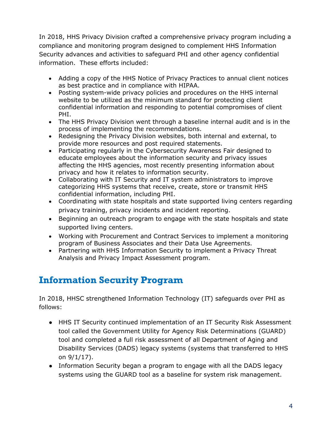In 2018, HHS Privacy Division crafted a comprehensive privacy program including a compliance and monitoring program designed to complement HHS Information Security advances and activities to safeguard PHI and other agency confidential information. These efforts included:

- Adding a copy of the HHS Notice of Privacy Practices to annual client notices as best practice and in compliance with HIPAA.
- Posting system-wide privacy policies and procedures on the HHS internal website to be utilized as the minimum standard for protecting client confidential information and responding to potential compromises of client PHI.
- The HHS Privacy Division went through a baseline internal audit and is in the process of implementing the recommendations.
- Redesigning the Privacy Division websites, both internal and external, to provide more resources and post required statements.
- Participating regularly in the Cybersecurity Awareness Fair designed to educate employees about the information security and privacy issues affecting the HHS agencies, most recently presenting information about privacy and how it relates to information security.
- Collaborating with IT Security and IT system administrators to improve categorizing HHS systems that receive, create, store or transmit HHS confidential information, including PHI.
- Coordinating with state hospitals and state supported living centers regarding privacy training, privacy incidents and incident reporting.
- Beginning an outreach program to engage with the state hospitals and state supported living centers.
- Working with Procurement and Contract Services to implement a monitoring program of Business Associates and their Data Use Agreements.
- Partnering with HHS Information Security to implement a Privacy Threat Analysis and Privacy Impact Assessment program.

## <span id="page-5-0"></span>**Information Security Program**

In 2018, HHSC strengthened Information Technology (IT) safeguards over PHI as follows:

- HHS IT Security continued implementation of an IT Security Risk Assessment tool called the Government Utility for Agency Risk Determinations (GUARD) tool and completed a full risk assessment of all Department of Aging and Disability Services (DADS) legacy systems (systems that transferred to HHS on 9/1/17).
- Information Security began a program to engage with all the DADS legacy systems using the GUARD tool as a baseline for system risk management.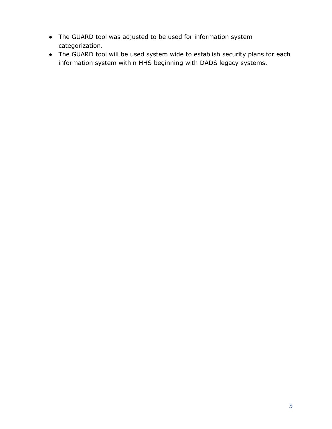- The GUARD tool was adjusted to be used for information system categorization.
- The GUARD tool will be used system wide to establish security plans for each information system within HHS beginning with DADS legacy systems.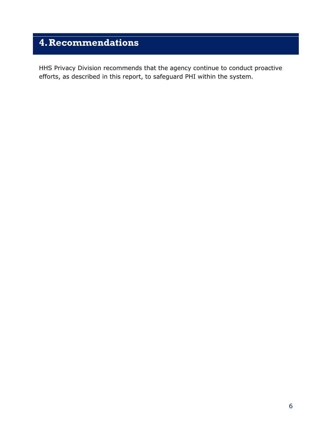## <span id="page-7-0"></span>**4.Recommendations**

HHS Privacy Division recommends that the agency continue to conduct proactive efforts, as described in this report, to safeguard PHI within the system.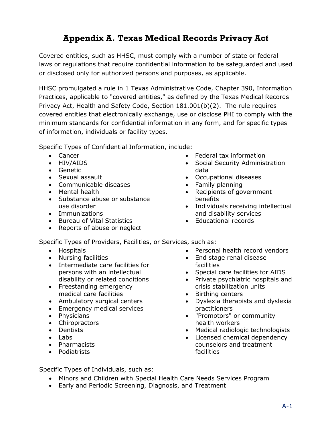## **Appendix A. Texas Medical Records Privacy Act**

<span id="page-8-0"></span>Covered entities, such as HHSC, must comply with a number of state or federal laws or regulations that require confidential information to be safeguarded and used or disclosed only for authorized persons and purposes, as applicable.

HHSC promulgated a rule in 1 Texas Administrative Code, Chapter 390, Information Practices, applicable to "covered entities," as defined by the Texas Medical Records Privacy Act, Health and Safety Code, Section 181.001(b)(2). The rule requires covered entities that electronically exchange, use or disclose PHI to comply with the minimum standards for confidential information in any form, and for specific types of information, individuals or facility types.

Specific Types of Confidential Information, include:

- Cancer
- HIV/AIDS
- Genetic
- Sexual assault
- Communicable diseases
- Mental health
- Substance abuse or substance use disorder
- Immunizations
- Bureau of Vital Statistics
- Reports of abuse or neglect
- Federal tax information
- Social Security Administration data
- Occupational diseases
- Family planning
- Recipients of government benefits
- Individuals receiving intellectual and disability services
- Educational records

Specific Types of Providers, Facilities, or Services, such as:

- Hospitals
- Nursing facilities
- Intermediate care facilities for persons with an intellectual disability or related conditions
- Freestanding emergency medical care facilities
- Ambulatory surgical centers
- Emergency medical services
- Physicians
- Chiropractors
- Dentists
- Labs
- Pharmacists
- Podiatrists
- Personal health record vendors
- End stage renal disease facilities
- Special care facilities for AIDS
- Private psychiatric hospitals and crisis stabilization units
- Birthing centers
- Dyslexia therapists and dyslexia practitioners
- "Promotors" or community health workers
- Medical radiologic technologists
- Licensed chemical dependency counselors and treatment facilities

Specific Types of Individuals, such as:

- Minors and Children with Special Health Care Needs Services Program
- Early and Periodic Screening, Diagnosis, and Treatment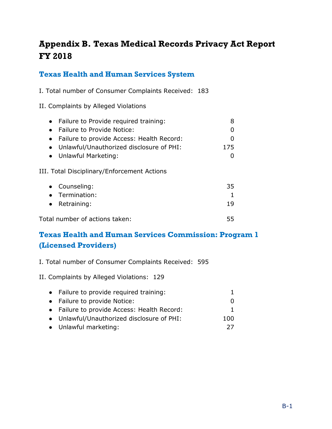## <span id="page-9-0"></span>**Appendix B. Texas Medical Records Privacy Act Report FY 2018**

#### **Texas Health and Human Services System**

I. Total number of Consumer Complaints Received: 183

II. Complaints by Alleged Violations

| • Failure to Provide required training:     |     |
|---------------------------------------------|-----|
| Failure to Provide Notice:                  |     |
| Failure to provide Access: Health Record:   |     |
| Unlawful/Unauthorized disclosure of PHI:    | 175 |
| • Unlawful Marketing:                       |     |
| III. Total Disciplinary/Enforcement Actions |     |
| • Counseling:                               | 35  |
| Termination:                                |     |
| Retraining:                                 | 19  |
| Total number of actions taken:              | לל  |

### **Texas Health and Human Services Commission: Program 1 (Licensed Providers)**

I. Total number of Consumer Complaints Received: 595

II. Complaints by Alleged Violations: 129

| • Failure to provide required training:     |     |
|---------------------------------------------|-----|
| • Failure to provide Notice:                |     |
| • Failure to provide Access: Health Record: |     |
| • Unlawful/Unauthorized disclosure of PHI:  | 100 |
| • Unlawful marketing:                       | フフ  |